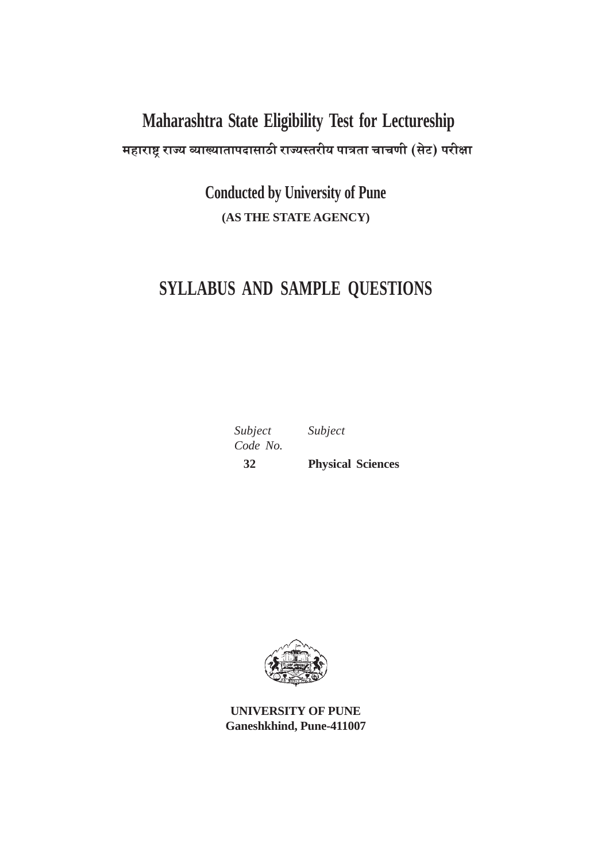# Maharashtra State Eligibility Test for Lectureship महाराष्ट्र राज्य व्याख्यातापदासाठी राज्यस्तरीय पात्रता चाचणी (सेट) परीक्षा

**Conducted by University of Pune** (AS THE STATE AGENCY)

## SYLLABUS AND SAMPLE QUESTIONS

Subject Code No.  $32$ 

Subject

**Physical Sciences** 



**UNIVERSITY OF PUNE** Ganeshkhind, Pune-411007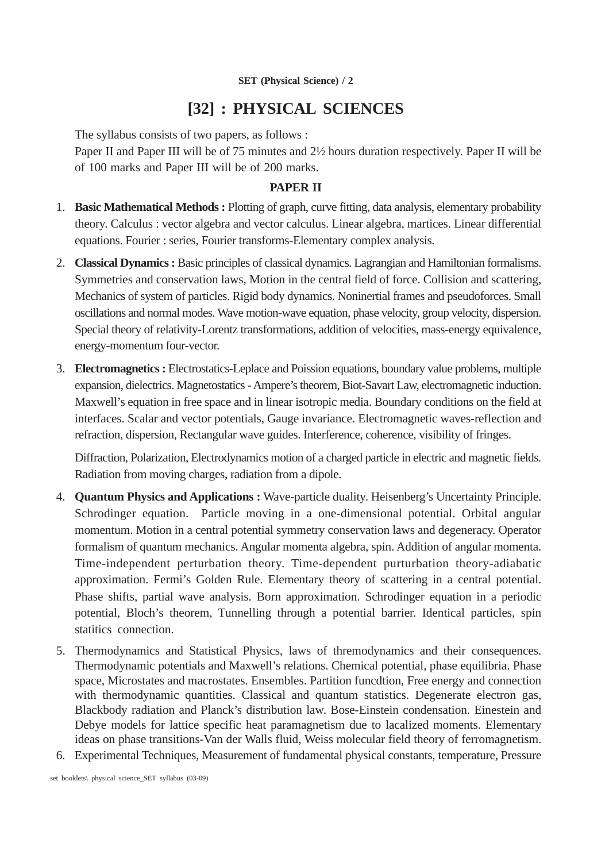### **[32] : PHYSICAL SCIENCES**

The syllabus consists of two papers, as follows :

Paper II and Paper III will be of 75 minutes and 2½ hours duration respectively. Paper II will be of 100 marks and Paper III will be of 200 marks.

#### **PAPER II**

- 1. **Basic Mathematical Methods :** Plotting of graph, curve fitting, data analysis, elementary probability theory. Calculus : vector algebra and vector calculus. Linear algebra, martices. Linear differential equations. Fourier : series, Fourier transforms-Elementary complex analysis.
- 2. **Classical Dynamics :** Basic principles of classical dynamics. Lagrangian and Hamiltonian formalisms. Symmetries and conservation laws, Motion in the central field of force. Collision and scattering, Mechanics of system of particles. Rigid body dynamics. Noninertial frames and pseudoforces. Small oscillations and normal modes. Wave motion-wave equation, phase velocity, group velocity, dispersion. Special theory of relativity-Lorentz transformations, addition of velocities, mass-energy equivalence, energy-momentum four-vector.
- 3. **Electromagnetics :** Electrostatics-Leplace and Poission equations, boundary value problems, multiple expansion, dielectrics. Magnetostatics - Ampere's theorem, Biot-Savart Law, electromagnetic induction. Maxwell's equation in free space and in linear isotropic media. Boundary conditions on the field at interfaces. Scalar and vector potentials, Gauge invariance. Electromagnetic waves-reflection and refraction, dispersion, Rectangular wave guides. Interference, coherence, visibility of fringes.

Diffraction, Polarization, Electrodynamics motion of a charged particle in electric and magnetic fields. Radiation from moving charges, radiation from a dipole.

- 4. **Quantum Physics and Applications :** Wave-particle duality. Heisenberg's Uncertainty Principle. Schrodinger equation. Particle moving in a one-dimensional potential. Orbital angular momentum. Motion in a central potential symmetry conservation laws and degeneracy. Operator formalism of quantum mechanics. Angular momenta algebra, spin. Addition of angular momenta. Time-independent perturbation theory. Time-dependent purturbation theory-adiabatic approximation. Fermi's Golden Rule. Elementary theory of scattering in a central potential. Phase shifts, partial wave analysis. Born approximation. Schrodinger equation in a periodic potential, Bloch's theorem, Tunnelling through a potential barrier. Identical particles, spin statitics connection.
- 5. Thermodynamics and Statistical Physics, laws of thremodynamics and their consequences. Thermodynamic potentials and Maxwell's relations. Chemical potential, phase equilibria. Phase space, Microstates and macrostates. Ensembles. Partition funcdtion, Free energy and connection with thermodynamic quantities. Classical and quantum statistics. Degenerate electron gas, Blackbody radiation and Planck's distribution law. Bose-Einstein condensation. Einestein and Debye models for lattice specific heat paramagnetism due to lacalized moments. Elementary ideas on phase transitions-Van der Walls fluid, Weiss molecular field theory of ferromagnetism.
- 6. Experimental Techniques, Measurement of fundamental physical constants, temperature, Pressure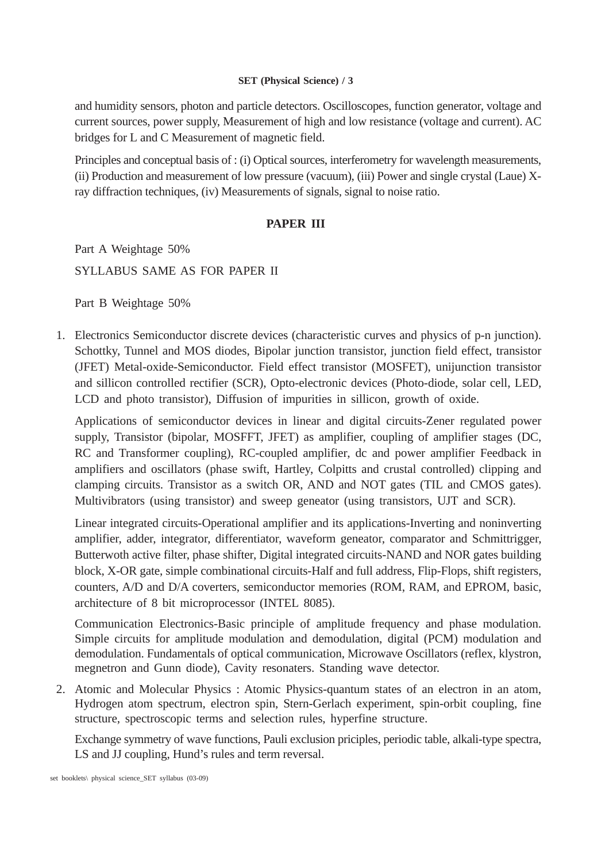and humidity sensors, photon and particle detectors. Oscilloscopes, function generator, voltage and current sources, power supply, Measurement of high and low resistance (voltage and current). AC bridges for L and C Measurement of magnetic field.

Principles and conceptual basis of : (i) Optical sources, interferometry for wavelength measurements, (ii) Production and measurement of low pressure (vacuum), (iii) Power and single crystal (Laue) Xray diffraction techniques, (iv) Measurements of signals, signal to noise ratio.

#### **PAPER III**

Part A Weightage 50% SYLLABUS SAME AS FOR PAPER II

Part B Weightage 50%

1. Electronics Semiconductor discrete devices (characteristic curves and physics of p-n junction). Schottky, Tunnel and MOS diodes, Bipolar junction transistor, junction field effect, transistor (JFET) Metal-oxide-Semiconductor. Field effect transistor (MOSFET), unijunction transistor and sillicon controlled rectifier (SCR), Opto-electronic devices (Photo-diode, solar cell, LED, LCD and photo transistor), Diffusion of impurities in sillicon, growth of oxide.

Applications of semiconductor devices in linear and digital circuits-Zener regulated power supply, Transistor (bipolar, MOSFFT, JFET) as amplifier, coupling of amplifier stages (DC, RC and Transformer coupling), RC-coupled amplifier, dc and power amplifier Feedback in amplifiers and oscillators (phase swift, Hartley, Colpitts and crustal controlled) clipping and clamping circuits. Transistor as a switch OR, AND and NOT gates (TIL and CMOS gates). Multivibrators (using transistor) and sweep geneator (using transistors, UJT and SCR).

Linear integrated circuits-Operational amplifier and its applications-Inverting and noninverting amplifier, adder, integrator, differentiator, waveform geneator, comparator and Schmittrigger, Butterwoth active filter, phase shifter, Digital integrated circuits-NAND and NOR gates building block, X-OR gate, simple combinational circuits-Half and full address, Flip-Flops, shift registers, counters, A/D and D/A coverters, semiconductor memories (ROM, RAM, and EPROM, basic, architecture of 8 bit microprocessor (INTEL 8085).

Communication Electronics-Basic principle of amplitude frequency and phase modulation. Simple circuits for amplitude modulation and demodulation, digital (PCM) modulation and demodulation. Fundamentals of optical communication, Microwave Oscillators (reflex, klystron, megnetron and Gunn diode), Cavity resonaters. Standing wave detector.

2. Atomic and Molecular Physics : Atomic Physics-quantum states of an electron in an atom, Hydrogen atom spectrum, electron spin, Stern-Gerlach experiment, spin-orbit coupling, fine structure, spectroscopic terms and selection rules, hyperfine structure.

Exchange symmetry of wave functions, Pauli exclusion priciples, periodic table, alkali-type spectra, LS and JJ coupling, Hund's rules and term reversal.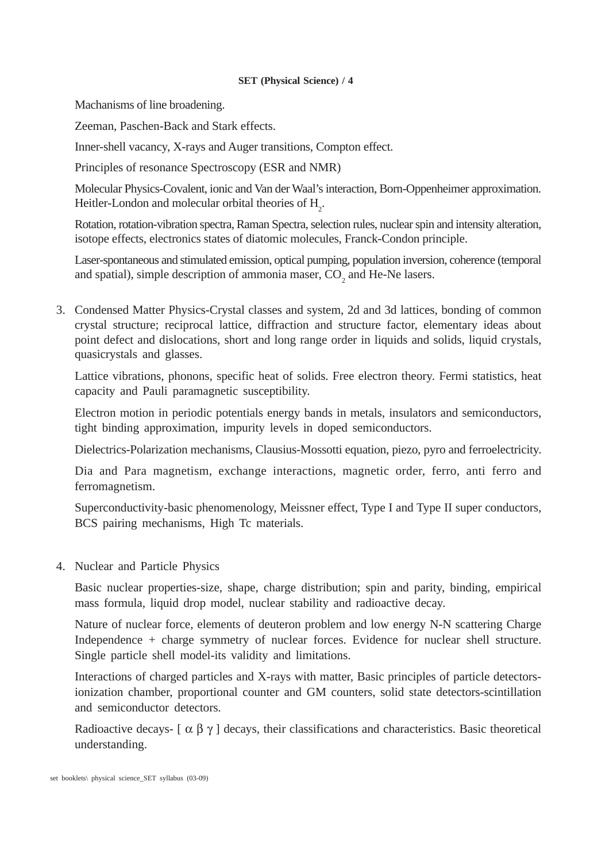Machanisms of line broadening.

Zeeman, Paschen-Back and Stark effects.

Inner-shell vacancy, X-rays and Auger transitions, Compton effect.

Principles of resonance Spectroscopy (ESR and NMR)

Molecular Physics-Covalent, ionic and Van der Waal's interaction, Born-Oppenheimer approximation. Heitler-London and molecular orbital theories of  $H_2$ .

Rotation, rotation-vibration spectra, Raman Spectra, selection rules, nuclear spin and intensity alteration, isotope effects, electronics states of diatomic molecules, Franck-Condon principle.

Laser-spontaneous and stimulated emission, optical pumping, population inversion, coherence (temporal and spatial), simple description of ammonia maser,  $CO_2$  and He-Ne lasers.

3. Condensed Matter Physics-Crystal classes and system, 2d and 3d lattices, bonding of common crystal structure; reciprocal lattice, diffraction and structure factor, elementary ideas about point defect and dislocations, short and long range order in liquids and solids, liquid crystals, quasicrystals and glasses.

Lattice vibrations, phonons, specific heat of solids. Free electron theory. Fermi statistics, heat capacity and Pauli paramagnetic susceptibility.

Electron motion in periodic potentials energy bands in metals, insulators and semiconductors, tight binding approximation, impurity levels in doped semiconductors.

Dielectrics-Polarization mechanisms, Clausius-Mossotti equation, piezo, pyro and ferroelectricity.

Dia and Para magnetism, exchange interactions, magnetic order, ferro, anti ferro and ferromagnetism.

Superconductivity-basic phenomenology, Meissner effect, Type I and Type II super conductors, BCS pairing mechanisms, High Tc materials.

4. Nuclear and Particle Physics

Basic nuclear properties-size, shape, charge distribution; spin and parity, binding, empirical mass formula, liquid drop model, nuclear stability and radioactive decay.

Nature of nuclear force, elements of deuteron problem and low energy N-N scattering Charge Independence + charge symmetry of nuclear forces. Evidence for nuclear shell structure. Single particle shell model-its validity and limitations.

Interactions of charged particles and X-rays with matter, Basic principles of particle detectorsionization chamber, proportional counter and GM counters, solid state detectors-scintillation and semiconductor detectors.

Radioactive decays-  $\lceil \alpha \beta \gamma \rceil$  decays, their classifications and characteristics. Basic theoretical understanding.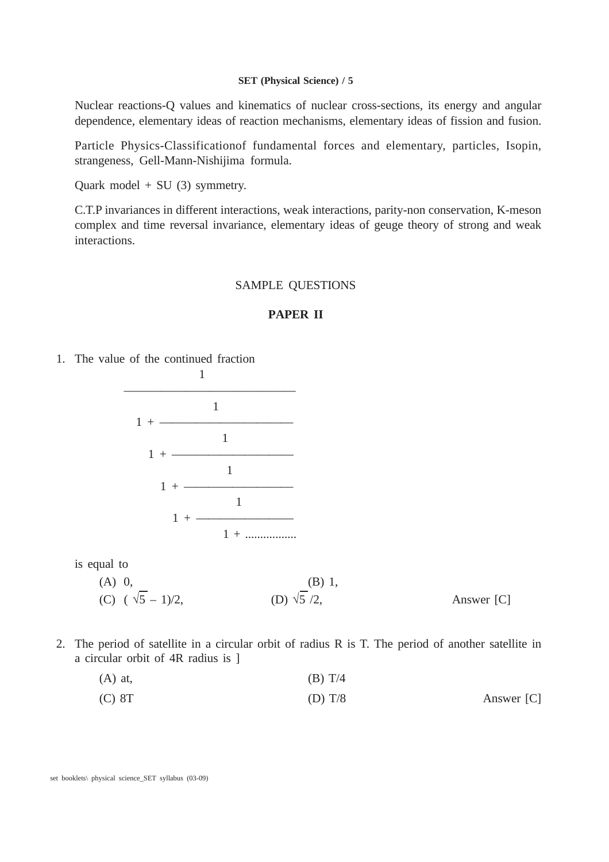Nuclear reactions-Q values and kinematics of nuclear cross-sections, its energy and angular dependence, elementary ideas of reaction mechanisms, elementary ideas of fission and fusion.

Particle Physics-Classificationof fundamental forces and elementary, particles, Isopin, strangeness, Gell-Mann-Nishijima formula.

Quark model  $+$  SU (3) symmetry.

C.T.P invariances in different interactions, weak interactions, parity-non conservation, K-meson complex and time reversal invariance, elementary ideas of geuge theory of strong and weak interactions.

#### SAMPLE QUESTIONS

#### **PAPER II**

1. The value of the continued fraction



is equal to

- $(A)$  0,  $(B)$  1, (C)  $(\sqrt{5} - 1)/2$ , (D)  $\sqrt{5}/2$ , Answer [C]
- 2. The period of satellite in a circular orbit of radius R is T. The period of another satellite in a circular orbit of 4R radius is ]

| $(A)$ at, | (B) T/4 |
|-----------|---------|
|           |         |

(C) 8T (D) T/8 Answer [C]

set booklets\ physical science\_SET syllabus (03-09)